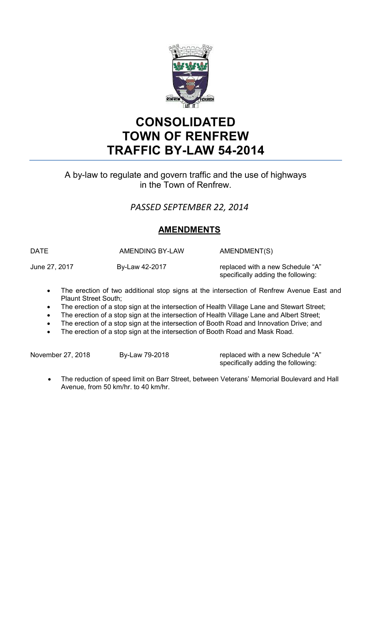

# **CONSOLIDATED TOWN OF RENFREW TRAFFIC BY-LAW 54-2014**

# A by-law to regulate and govern traffic and the use of highways in the Town of Renfrew.

# *PASSED SEPTEMBER 22, 2014*

# **AMENDMENTS**

DATE AMENDING BY-LAW AMENDMENT(S)

June 27, 2017 **By-Law 42-2017 replaced with a new Schedule "A"** specifically adding the following:

- The erection of two additional stop signs at the intersection of Renfrew Avenue East and Plaunt Street South;
- The erection of a stop sign at the intersection of Health Village Lane and Stewart Street;
- The erection of a stop sign at the intersection of Health Village Lane and Albert Street;
- The erection of a stop sign at the intersection of Booth Road and Innovation Drive; and
- The erection of a stop sign at the intersection of Booth Road and Mask Road.

November 27, 2018 By-Law 79-2018 replaced with a new Schedule "A" specifically adding the following:

• The reduction of speed limit on Barr Street, between Veterans' Memorial Boulevard and Hall Avenue, from 50 km/hr. to 40 km/hr.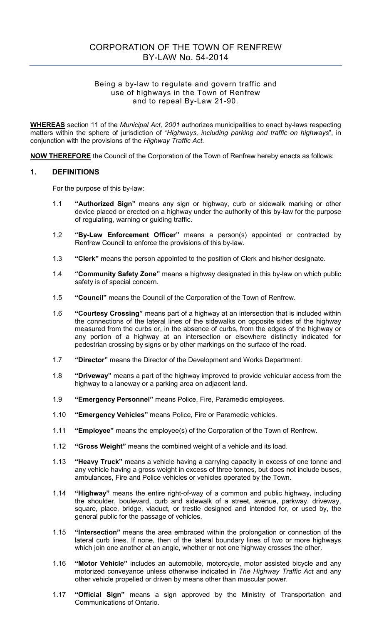# CORPORATION OF THE TOWN OF RENFREW BY-LAW No. 54-2014

#### Being a by-law to regulate and govern traffic and use of highways in the Town of Renfrew and to repeal By-Law 21-90.

**WHEREAS** section 11 of the *Municipal Act, 2001* authorizes municipalities to enact by-laws respecting matters within the sphere of jurisdiction of "*Highways, including parking and traffic on highways*", in conjunction with the provisions of the *Highway Traffic Act*.

**NOW THEREFORE** the Council of the Corporation of the Town of Renfrew hereby enacts as follows:

#### **1. DEFINITIONS**

For the purpose of this by-law:

- 1.1 **"Authorized Sign"** means any sign or highway, curb or sidewalk marking or other device placed or erected on a highway under the authority of this by-law for the purpose of regulating, warning or guiding traffic.
- 1.2 **"By-Law Enforcement Officer"** means a person(s) appointed or contracted by Renfrew Council to enforce the provisions of this by-law.
- 1.3 **"Clerk"** means the person appointed to the position of Clerk and his/her designate.
- 1.4 **"Community Safety Zone"** means a highway designated in this by-law on which public safety is of special concern.
- 1.5 **"Council"** means the Council of the Corporation of the Town of Renfrew.
- 1.6 **"Courtesy Crossing"** means part of a highway at an intersection that is included within the connections of the lateral lines of the sidewalks on opposite sides of the highway measured from the curbs or, in the absence of curbs, from the edges of the highway or any portion of a highway at an intersection or elsewhere distinctly indicated for pedestrian crossing by signs or by other markings on the surface of the road.
- 1.7 **"Director"** means the Director of the Development and Works Department.
- 1.8 **"Driveway"** means a part of the highway improved to provide vehicular access from the highway to a laneway or a parking area on adjacent land.
- 1.9 **"Emergency Personnel"** means Police, Fire, Paramedic employees.
- 1.10 **"Emergency Vehicles"** means Police, Fire or Paramedic vehicles.
- 1.11 **"Employee"** means the employee(s) of the Corporation of the Town of Renfrew.
- 1.12 **"Gross Weight"** means the combined weight of a vehicle and its load.
- 1.13 **"Heavy Truck"** means a vehicle having a carrying capacity in excess of one tonne and any vehicle having a gross weight in excess of three tonnes, but does not include buses, ambulances, Fire and Police vehicles or vehicles operated by the Town.
- 1.14 **"Highway"** means the entire right-of-way of a common and public highway, including the shoulder, boulevard, curb and sidewalk of a street, avenue, parkway, driveway, square, place, bridge, viaduct, or trestle designed and intended for, or used by, the general public for the passage of vehicles.
- 1.15 **"Intersection"** means the area embraced within the prolongation or connection of the lateral curb lines. If none, then of the lateral boundary lines of two or more highways which join one another at an angle, whether or not one highway crosses the other.
- 1.16 **"Motor Vehicle"** includes an automobile, motorcycle, motor assisted bicycle and any motorized conveyance unless otherwise indicated in *The Highway Traffic Act* and any other vehicle propelled or driven by means other than muscular power.
- 1.17 **"Official Sign"** means a sign approved by the Ministry of Transportation and Communications of Ontario.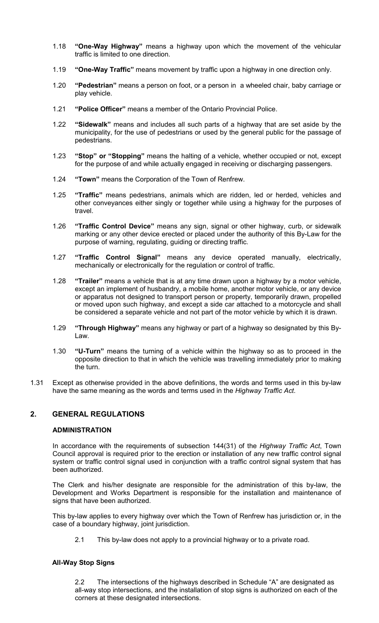- 1.18 **"One-Way Highway"** means a highway upon which the movement of the vehicular traffic is limited to one direction.
- 1.19 **"One-Way Traffic"** means movement by traffic upon a highway in one direction only.
- 1.20 **"Pedestrian"** means a person on foot, or a person in a wheeled chair, baby carriage or play vehicle.
- 1.21 **"Police Officer"** means a member of the Ontario Provincial Police.
- 1.22 **"Sidewalk"** means and includes all such parts of a highway that are set aside by the municipality, for the use of pedestrians or used by the general public for the passage of pedestrians.
- 1.23 **"Stop" or "Stopping"** means the halting of a vehicle, whether occupied or not, except for the purpose of and while actually engaged in receiving or discharging passengers.
- 1.24 **"Town"** means the Corporation of the Town of Renfrew.
- 1.25 **"Traffic"** means pedestrians, animals which are ridden, led or herded, vehicles and other conveyances either singly or together while using a highway for the purposes of travel.
- 1.26 **"Traffic Control Device"** means any sign, signal or other highway, curb, or sidewalk marking or any other device erected or placed under the authority of this By-Law for the purpose of warning, regulating, guiding or directing traffic.
- 1.27 **"Traffic Control Signal"** means any device operated manually, electrically, mechanically or electronically for the regulation or control of traffic.
- 1.28 **"Trailer"** means a vehicle that is at any time drawn upon a highway by a motor vehicle, except an implement of husbandry, a mobile home, another motor vehicle, or any device or apparatus not designed to transport person or property, temporarily drawn, propelled or moved upon such highway, and except a side car attached to a motorcycle and shall be considered a separate vehicle and not part of the motor vehicle by which it is drawn.
- 1.29 **"Through Highway"** means any highway or part of a highway so designated by this By-Law.
- 1.30 **"U-Turn"** means the turning of a vehicle within the highway so as to proceed in the opposite direction to that in which the vehicle was travelling immediately prior to making the turn.
- 1.31 Except as otherwise provided in the above definitions, the words and terms used in this by-law have the same meaning as the words and terms used in the *Highway Traffic Act*.

#### **2. GENERAL REGULATIONS**

#### **ADMINISTRATION**

In accordance with the requirements of subsection 144(31) of the *Highway Traffic Act*, Town Council approval is required prior to the erection or installation of any new traffic control signal system or traffic control signal used in conjunction with a traffic control signal system that has been authorized.

The Clerk and his/her designate are responsible for the administration of this by-law, the Development and Works Department is responsible for the installation and maintenance of signs that have been authorized.

This by-law applies to every highway over which the Town of Renfrew has jurisdiction or, in the case of a boundary highway, joint jurisdiction.

2.1 This by-law does not apply to a provincial highway or to a private road.

#### **All-Way Stop Signs**

2.2 The intersections of the highways described in Schedule "A" are designated as all-way stop intersections, and the installation of stop signs is authorized on each of the corners at these designated intersections.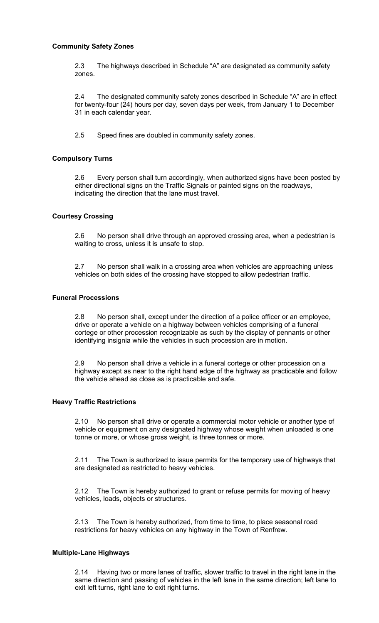#### **Community Safety Zones**

2.3 The highways described in Schedule "A" are designated as community safety zones.

2.4 The designated community safety zones described in Schedule "A" are in effect for twenty-four (24) hours per day, seven days per week, from January 1 to December 31 in each calendar year.

2.5 Speed fines are doubled in community safety zones.

#### **Compulsory Turns**

2.6 Every person shall turn accordingly, when authorized signs have been posted by either directional signs on the Traffic Signals or painted signs on the roadways, indicating the direction that the lane must travel.

#### **Courtesy Crossing**

2.6 No person shall drive through an approved crossing area, when a pedestrian is waiting to cross, unless it is unsafe to stop.

2.7 No person shall walk in a crossing area when vehicles are approaching unless vehicles on both sides of the crossing have stopped to allow pedestrian traffic.

### **Funeral Processions**

2.8 No person shall, except under the direction of a police officer or an employee, drive or operate a vehicle on a highway between vehicles comprising of a funeral cortege or other procession recognizable as such by the display of pennants or other identifying insignia while the vehicles in such procession are in motion.

2.9 No person shall drive a vehicle in a funeral cortege or other procession on a highway except as near to the right hand edge of the highway as practicable and follow the vehicle ahead as close as is practicable and safe.

#### **Heavy Traffic Restrictions**

2.10 No person shall drive or operate a commercial motor vehicle or another type of vehicle or equipment on any designated highway whose weight when unloaded is one tonne or more, or whose gross weight, is three tonnes or more.

2.11 The Town is authorized to issue permits for the temporary use of highways that are designated as restricted to heavy vehicles.

2.12 The Town is hereby authorized to grant or refuse permits for moving of heavy vehicles, loads, objects or structures.

2.13 The Town is hereby authorized, from time to time, to place seasonal road restrictions for heavy vehicles on any highway in the Town of Renfrew.

#### **Multiple-Lane Highways**

2.14 Having two or more lanes of traffic, slower traffic to travel in the right lane in the same direction and passing of vehicles in the left lane in the same direction; left lane to exit left turns, right lane to exit right turns.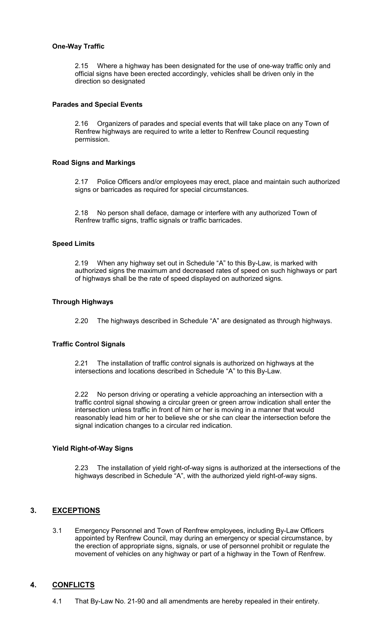#### **One-Way Traffic**

2.15 Where a highway has been designated for the use of one-way traffic only and official signs have been erected accordingly, vehicles shall be driven only in the direction so designated

#### **Parades and Special Events**

2.16 Organizers of parades and special events that will take place on any Town of Renfrew highways are required to write a letter to Renfrew Council requesting permission.

#### **Road Signs and Markings**

2.17 Police Officers and/or employees may erect, place and maintain such authorized signs or barricades as required for special circumstances.

2.18 No person shall deface, damage or interfere with any authorized Town of Renfrew traffic signs, traffic signals or traffic barricades.

#### **Speed Limits**

2.19 When any highway set out in Schedule "A" to this By-Law, is marked with authorized signs the maximum and decreased rates of speed on such highways or part of highways shall be the rate of speed displayed on authorized signs.

#### **Through Highways**

2.20 The highways described in Schedule "A" are designated as through highways.

#### **Traffic Control Signals**

2.21 The installation of traffic control signals is authorized on highways at the intersections and locations described in Schedule "A" to this By-Law.

2.22 No person driving or operating a vehicle approaching an intersection with a traffic control signal showing a circular green or green arrow indication shall enter the intersection unless traffic in front of him or her is moving in a manner that would reasonably lead him or her to believe she or she can clear the intersection before the signal indication changes to a circular red indication.

#### **Yield Right-of-Way Signs**

2.23 The installation of yield right-of-way signs is authorized at the intersections of the highways described in Schedule "A", with the authorized yield right-of-way signs.

### **3. EXCEPTIONS**

 3.1 Emergency Personnel and Town of Renfrew employees, including By-Law Officers appointed by Renfrew Council, may during an emergency or special circumstance, by the erection of appropriate signs, signals, or use of personnel prohibit or regulate the movement of vehicles on any highway or part of a highway in the Town of Renfrew.

#### **4. CONFLICTS**

4.1 That By-Law No. 21-90 and all amendments are hereby repealed in their entirety.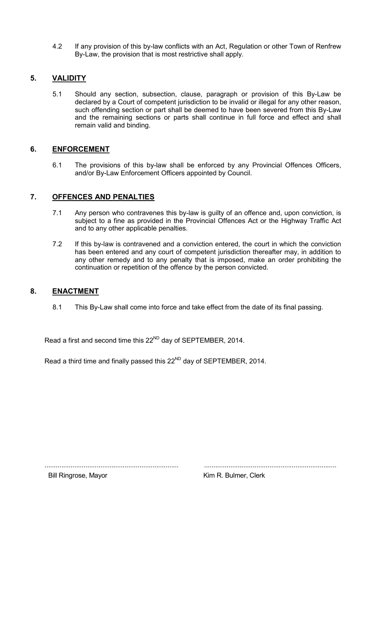4.2 If any provision of this by-law conflicts with an Act, Regulation or other Town of Renfrew By-Law, the provision that is most restrictive shall apply.

## **5. VALIDITY**

5.1 Should any section, subsection, clause, paragraph or provision of this By-Law be declared by a Court of competent jurisdiction to be invalid or illegal for any other reason, such offending section or part shall be deemed to have been severed from this By-Law and the remaining sections or parts shall continue in full force and effect and shall remain valid and binding.

### **6. ENFORCEMENT**

6.1 The provisions of this by-law shall be enforced by any Provincial Offences Officers, and/or By-Law Enforcement Officers appointed by Council.

### **7. OFFENCES AND PENALTIES**

- 7.1 Any person who contravenes this by-law is guilty of an offence and, upon conviction, is subject to a fine as provided in the Provincial Offences Act or the Highway Traffic Act and to any other applicable penalties*.*
- 7.2 If this by-law is contravened and a conviction entered, the court in which the conviction has been entered and any court of competent jurisdiction thereafter may, in addition to any other remedy and to any penalty that is imposed, make an order prohibiting the continuation or repetition of the offence by the person convicted.

### 8. **ENACTMENT**

8.1 This By-Law shall come into force and take effect from the date of its final passing.

Read a first and second time this 22<sup>ND</sup> day of SEPTEMBER, 2014.

Read a third time and finally passed this 22<sup>ND</sup> day of SEPTEMBER, 2014.

........................................................................ .......................................................................

Bill Ringrose, Mayor **Kim R. Bulmer, Clerk**